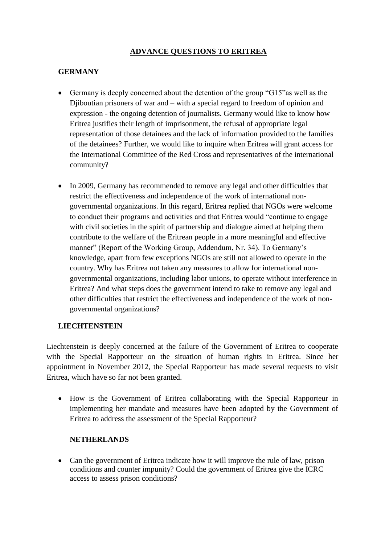## **ADVANCE QUESTIONS TO ERITREA**

## **GERMANY**

- Germany is deeply concerned about the detention of the group "G15"as well as the Djiboutian prisoners of war and – with a special regard to freedom of opinion and expression - the ongoing detention of journalists. Germany would like to know how Eritrea justifies their length of imprisonment, the refusal of appropriate legal representation of those detainees and the lack of information provided to the families of the detainees? Further, we would like to inquire when Eritrea will grant access for the International Committee of the Red Cross and representatives of the international community?
- In 2009, Germany has recommended to remove any legal and other difficulties that restrict the effectiveness and independence of the work of international nongovernmental organizations. In this regard, Eritrea replied that NGOs were welcome to conduct their programs and activities and that Eritrea would "continue to engage with civil societies in the spirit of partnership and dialogue aimed at helping them contribute to the welfare of the Eritrean people in a more meaningful and effective manner" (Report of the Working Group, Addendum, Nr. 34). To Germany's knowledge, apart from few exceptions NGOs are still not allowed to operate in the country. Why has Eritrea not taken any measures to allow for international nongovernmental organizations, including labor unions, to operate without interference in Eritrea? And what steps does the government intend to take to remove any legal and other difficulties that restrict the effectiveness and independence of the work of nongovernmental organizations?

## **LIECHTENSTEIN**

Liechtenstein is deeply concerned at the failure of the Government of Eritrea to cooperate with the Special Rapporteur on the situation of human rights in Eritrea. Since her appointment in November 2012, the Special Rapporteur has made several requests to visit Eritrea, which have so far not been granted.

• How is the Government of Eritrea collaborating with the Special Rapporteur in implementing her mandate and measures have been adopted by the Government of Eritrea to address the assessment of the Special Rapporteur?

## **NETHERLANDS**

 Can the government of Eritrea indicate how it will improve the rule of law, prison conditions and counter impunity? Could the government of Eritrea give the ICRC access to assess prison conditions?